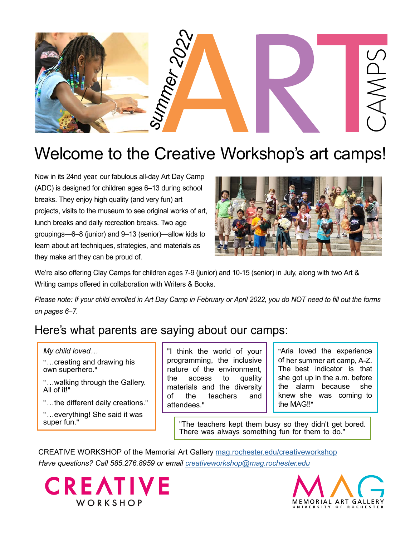

## Welcome to the Creative Workshop's art camps!

Now in its 24nd year, our fabulous all-day Art Day Camp (ADC) is designed for children ages 6–13 during school breaks. They enjoy high quality (and very fun) art projects, visits to the museum to see original works of art, lunch breaks and daily recreation breaks. Two age groupings—6–8 (junior) and 9–13 (senior)—allow kids to learn about art techniques, strategies, and materials as they make art they can be proud of.



We're also offering Clay Camps for children ages 7-9 (junior) and 10-15 (senior) in July, along with two Art & Writing camps offered in collaboration with Writers & Books.

Please note: If your child enrolled in Art Day Camp in February or April 2022, you do NOT need to fill out the forms *on pages 6–7.*

### Here's what parents are saying about our camps:

*My child loved…* 

"…creating and drawing his own superhero."

"…walking through the Gallery. All of it!"

"…the different daily creations."

"…everything! She said it was super fun."

"I think the world of your programming, the inclusive nature of the environment, the access to quality materials and the diversity of the teachers and attendees."

"Aria loved the experience of her summer art camp, A-Z. The best indicator is that she got up in the a.m. before the alarm because she knew she was coming to the MAG!!"

"The teachers kept them busy so they didn't get bored. There was always something fun for them to do."

CREATIVE WORKSHOP of the Memorial Art Gallery [mag.rochester.edu/creativeworkshop](https://mag.rochester.edu/creativeworkshop/) *Have questions? Call 585.276.8959 or email creativeworkshop@mag.rochester.edu*



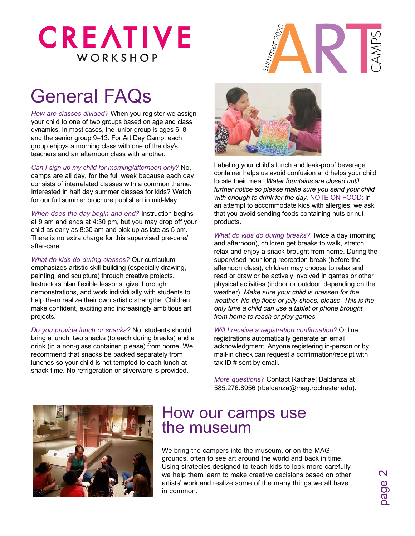## **CREATIVE** WORKSHOP



## General FAQs

*How are classes divided?* When you register we assign your child to one of two groups based on age and class dynamics. In most cases, the junior group is ages 6–8 and the senior group 9–13. For Art Day Camp, each group enjoys a morning class with one of the day's teachers and an afternoon class with another.

*Can I sign up my child for morning/afternoon only?* No, camps are all day, for the full week because each day consists of interrelated classes with a common theme. Interested in half day summer classes for kids? Watch for our full summer brochure published in mid-May.

*When does the day begin and end?* Instruction begins at 9 am and ends at 4:30 pm, but you may drop off your child as early as 8:30 am and pick up as late as 5 pm. There is no extra charge for this supervised pre-care/ after-care.

*What do kids do during classes?* Our curriculum emphasizes artistic skill-building (especially drawing, painting, and sculpture) through creative projects. Instructors plan flexible lessons, give thorough demonstrations, and work individually with students to help them realize their own artistic strengths. Children make confident, exciting and increasingly ambitious art projects.

*Do you provide lunch or snacks?* No, students should bring a lunch, two snacks (to each during breaks) and a drink (in a non-glass container, please) from home. We recommend that snacks be packed separately from lunches so your child is not tempted to each lunch at snack time. No refrigeration or silverware is provided.



Labeling your child's lunch and leak-proof beverage container helps us avoid confusion and helps your child locate their meal. *Water fountains are closed until further notice so please make sure you send your child with enough to drink for the day.* NOTE ON FOOD: In an attempt to accommodate kids with allergies, we ask that you avoid sending foods containing nuts or nut products.

*What do kids do during breaks?* Twice a day (morning and afternoon), children get breaks to walk, stretch, relax and enjoy a snack brought from home. During the supervised hour-long recreation break (before the afternoon class), children may choose to relax and read or draw or be actively involved in games or other physical activities (indoor or outdoor, depending on the weather). *Make sure your child is dressed for the weather. No flip flops or jelly shoes, please. This is the only time a child can use a tablet or phone brought from home to reach or play games.*

*Will I receive a registration confirmation?* Online registrations automatically generate an email acknowledgment. Anyone registering in-person or by mail-in check can request a confirmation/receipt with tax ID # sent by email.

*More questions?* Contact Rachael Baldanza at 585.276.8956 (rbaldanza@mag.rochester.edu).



### How our camps use the museum

We bring the campers into the museum, or on the MAG grounds, often to see art around the world and back in time. Using strategies designed to teach kids to look more carefully, we help them learn to make creative decisions based on other artists' work and realize some of the many things we all have in common.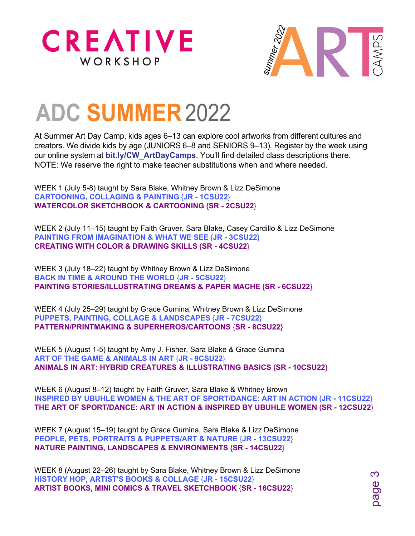



page 3

## **ADC SUMMER**2022

At Summer Art Day Camp, kids ages 6–13 can explore cool artworks from different cultures and creators. We divide kids by age (JUNIORS 6–8 and SENIORS 9–13). Register by the week using our online system at **[bit.ly/CW\\_ArtDayCamps](https://bit.ly/CW_ArtDayCamps)**. You'll find detailed class descriptions there. NOTE: We reserve the right to make teacher substitutions when and where needed.

WEEK 1 (July 5-8) taught by Sara Blake, Whitney Brown & Lizz DeSimone **CARTOONING, COLLAGING & PAINTING** {**JR - 1CSU22**} **WATERCOLOR SKETCHBOOK & CARTOONING** {**SR - 2CSU22**}

WEEK 2 (July 11–15) taught by Faith Gruver, Sara Blake, Casey Cardillo & Lizz DeSimone **PAINTING FROM IMAGINATION & WHAT WE SEE** {**JR - 3CSU22**} **CREATING WITH COLOR & DRAWING SKILLS** {**SR - 4CSU22**}

WEEK 3 (July 18–22) taught by Whitney Brown & Lizz DeSimone **BACK IN TIME & AROUND THE WORLD** {**JR - 5CSU22**} **PAINTING STORIES/ILLUSTRATING DREAMS & PAPER MACHE** {**SR - 6CSU22**}

WEEK 4 (July 25–29) taught by Grace Gumina, Whitney Brown & Lizz DeSimone **PUPPETS, PAINTING, COLLAGE & LANDSCAPES** {**JR - 7CSU22**} **PATTERN/PRINTMAKING & SUPERHEROS/CARTOONS** {**SR - 8CSU22**}

WEEK 5 (August 1-5) taught by Amy J. Fisher, Sara Blake & Grace Gumina **ART OF THE GAME & ANIMALS IN ART** {**JR - 9CSU22**} **ANIMALS IN ART: HYBRID CREATURES & ILLUSTRATING BASICS** {**SR - 10CSU22**}

WEEK 6 (August 8–12) taught by Faith Gruver, Sara Blake & Whitney Brown **INSPIRED BY UBUHLE WOMEN & THE ART OF SPORT/DANCE: ART IN ACTION {JR - 11CSU22} THE ART OF SPORT/DANCE: ART IN ACTION & INSPIRED BY UBUHLE WOMEN** {**SR - 12CSU22**}

WEEK 7 (August 15–19) taught by Grace Gumina, Sara Blake & Lizz DeSimone **PEOPLE, PETS, PORTRAITS & PUPPETS/ART & NATURE** {**JR - 13CSU22**} **NATURE PAINTING, LANDSCAPES & ENVIRONMENTS** {**SR - 14CSU22**}

WEEK 8 (August 22–26) taught by Sara Blake, Whitney Brown & Lizz DeSimone **HISTORY HOP, ARTIST'S BOOKS & COLLAGE** {**JR - 15CSU22**} **ARTIST BOOKS, MINI COMICS & TRAVEL SKETCHBOOK** {**SR - 16CSU22**}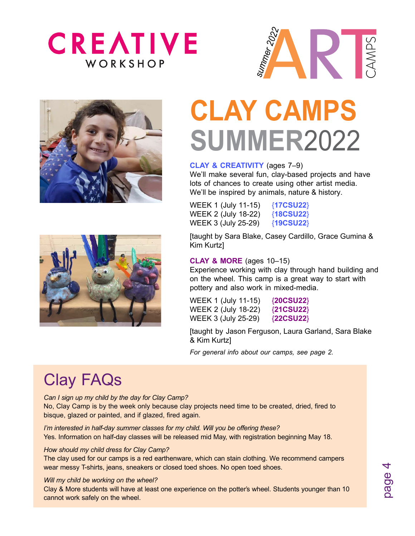







# **CLAY CAMPS SUMMER**2022

#### **CLAY & CREATIVITY** (ages 7–9)

We'll make several fun, clay-based projects and have lots of chances to create using other artist media. We'll be inspired by animals, nature & history.

| WEEK 1 (July 11-15) | ${17}$ CSU22} |
|---------------------|---------------|
| WEEK 2 (July 18-22) | ${18}$ CSU22} |
| WEEK 3 (July 25-29) | ${19}$ CSU22} |

[taught by Sara Blake, Casey Cardillo, Grace Gumina & Kim Kurtz]

#### **CLAY & MORE** (ages 10–15)

Experience working with clay through hand building and on the wheel. This camp is a great way to start with pottery and also work in mixed-media.

WEEK 1 (July 11-15) {**20CSU22**} WEEK 2 (July 18-22) {**21CSU22**} WEEK 3 (July 25-29) {**22CSU22**}

[taught by Jason Ferguson, Laura Garland, Sara Blake & Kim Kurtz]

*For general info about our camps, see page 2.*

## Clay FAQs

*Can I sign up my child by the day for Clay Camp?* 

No, Clay Camp is by the week only because clay projects need time to be created, dried, fired to bisque, glazed or painted, and if glazed, fired again.

*I'm interested in half-day summer classes for my child. Will you be offering these?*  Yes. Information on half-day classes will be released mid May, with registration beginning May 18.

#### *How should my child dress for Clay Camp?*

The clay used for our camps is a red earthenware, which can stain clothing. We recommend campers wear messy T-shirts, jeans, sneakers or closed toed shoes. No open toed shoes.

#### *Will my child be working on the wheel?*

Clay & More students will have at least one experience on the potter's wheel. Students younger than 10 cannot work safely on the wheel.

page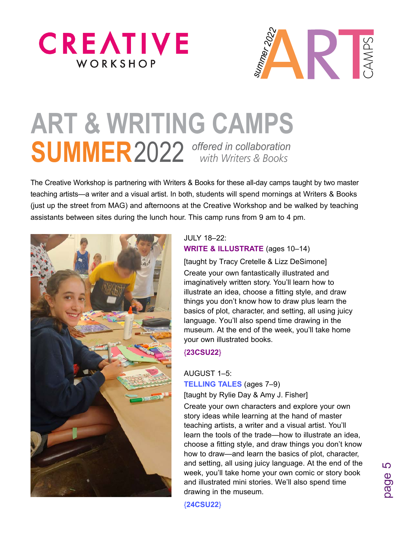



# **ART & WRITING CAMPS SUMMER**2022 *offered in collaboration with Writers & Books*

The Creative Workshop is partnering with Writers & Books for these all-day camps taught by two master teaching artists—a writer and a visual artist. In both, students will spend mornings at Writers & Books (just up the street from MAG) and afternoons at the Creative Workshop and be walked by teaching assistants between sites during the lunch hour. This camp runs from 9 am to 4 pm.



#### JULY 18–22: **WRITE & ILLUSTRATE** (ages 10–14)

[taught by Tracy Cretelle & Lizz DeSimone]

Create your own fantastically illustrated and imaginatively written story. You'll learn how to illustrate an idea, choose a fitting style, and draw things you don't know how to draw plus learn the basics of plot, character, and setting, all using juicy language. You'll also spend time drawing in the museum. At the end of the week, you'll take home your own illustrated books.

#### {**23CSU22**}

#### AUGUST 1–5:

**TELLING TALES** (ages 7–9) [taught by Rylie Day & Amy J. Fisher]

Create your own characters and explore your own story ideas while learning at the hand of master teaching artists, a writer and a visual artist. You'll learn the tools of the trade—how to illustrate an idea, choose a fitting style, and draw things you don't know how to draw—and learn the basics of plot, character, and setting, all using juicy language. At the end of the week, you'll take home your own comic or story book and illustrated mini stories. We'll also spend time drawing in the museum.

{**24CSU22**}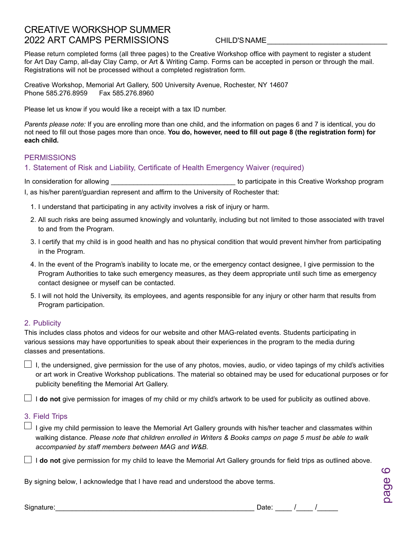#### CREATIVE WORKSHOP SUMMER 2022 ART CAMPS PERMISSIONS

#### CHILD'S NAME\_\_\_\_\_\_\_\_\_\_\_\_\_\_\_\_\_\_\_\_\_\_\_\_\_\_\_\_\_

Please return completed forms (all three pages) to the Creative Workshop office with payment to register a student for Art Day Camp, all-day Clay Camp, or Art & Writing Camp. Forms can be accepted in person or through the mail. Registrations will not be processed without a completed registration form.

Creative Workshop, Memorial Art Gallery, 500 University Avenue, Rochester, NY 14607 Phone 585.276.8959 Fax 585.276.8960

Please let us know if you would like a receipt with a tax ID number.

*Parents please note:* If you are enrolling more than one child, and the information on pages 6 and 7 is identical, you do not need to fill out those pages more than once. **You do, however, need to fill out page 8 (the registration form) for each child.**

#### **PERMISSIONS**

1. Statement of Risk and Liability, Certificate of Health Emergency Waiver (required)

In consideration for allowing the same of the state of the state of participate in this Creative Workshop program I, as his/her parent/guardian represent and affirm to the University of Rochester that:

- 1. I understand that participating in any activity involves a risk of injury or harm.
- 2. All such risks are being assumed knowingly and voluntarily, including but not limited to those associated with travel to and from the Program.
- 3. I certify that my child is in good health and has no physical condition that would prevent him/her from participating in the Program.
- 4. In the event of the Program's inability to locate me, or the emergency contact designee, I give permission to the Program Authorities to take such emergency measures, as they deem appropriate until such time as emergency contact designee or myself can be contacted.
- 5. I will not hold the University, its employees, and agents responsible for any injury or other harm that results from Program participation.

#### 2. Publicity

This includes class photos and videos for our website and other MAG-related events. Students participating in various sessions may have opportunities to speak about their experiences in the program to the media during classes and presentations.

 $\Box$  I, the undersigned, give permission for the use of any photos, movies, audio, or video tapings of my child's activities or art work in Creative Workshop publications. The material so obtained may be used for educational purposes or for publicity benefiting the Memorial Art Gallery.

 $\Box$  **I do not** give permission for images of my child or my child's artwork to be used for publicity as outlined above.

#### 3. Field Trips

 $\Box$  I give my child permission to leave the Memorial Art Gallery grounds with his/her teacher and classmates within walking distance. *Please note that children enrolled in Writers & Books camps on page 5 must be able to walk accompanied by staff members between MAG and W&B.*

 $\Box$  **I do not** give permission for my child to leave the Memorial Art Gallery grounds for field trips as outlined above.

By signing below, I acknowledge that I have read and understood the above terms.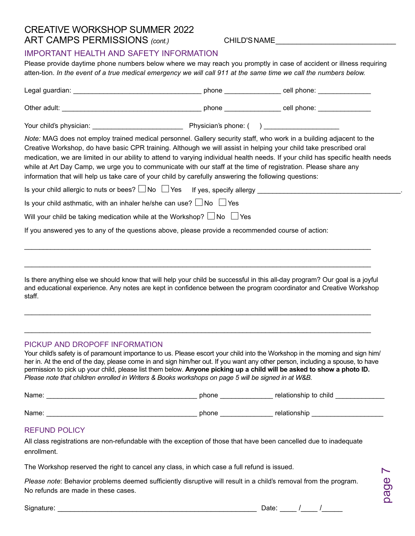#### CREATIVE WORKSHOP SUMMER 2022 ART CAMPS PERMISSIONS *(cont.)*

CHILD'S NAME\_\_\_\_\_\_\_\_\_\_\_\_\_\_\_\_\_\_\_\_\_\_\_\_\_\_\_\_\_

#### IMPORTANT HEALTH AND SAFETY INFORMATION

Please provide daytime phone numbers below where we may reach you promptly in case of accident or illness requiring atten-tion. *In the event of a true medical emergency we will call 911 at the same time we call the numbers below.*

| Note: MAG does not employ trained medical personnel. Gallery security staff, who work in a building adjacent to the<br>Creative Workshop, do have basic CPR training. Although we will assist in helping your child take prescribed oral<br>medication, we are limited in our ability to attend to varying individual health needs. If your child has specific health needs<br>while at Art Day Camp, we urge you to communicate with our staff at the time of registration. Please share any<br>information that will help us take care of your child by carefully answering the following questions: |  |
|--------------------------------------------------------------------------------------------------------------------------------------------------------------------------------------------------------------------------------------------------------------------------------------------------------------------------------------------------------------------------------------------------------------------------------------------------------------------------------------------------------------------------------------------------------------------------------------------------------|--|
|                                                                                                                                                                                                                                                                                                                                                                                                                                                                                                                                                                                                        |  |
| Is your child asthmatic, with an inhaler he/she can use? $\Box$ No $\Box$ Yes                                                                                                                                                                                                                                                                                                                                                                                                                                                                                                                          |  |
| Will your child be taking medication while at the Workshop? $\Box$ No $\Box$ Yes                                                                                                                                                                                                                                                                                                                                                                                                                                                                                                                       |  |
| If you answered yes to any of the questions above, please provide a recommended course of action:                                                                                                                                                                                                                                                                                                                                                                                                                                                                                                      |  |
|                                                                                                                                                                                                                                                                                                                                                                                                                                                                                                                                                                                                        |  |
| Is there anything else we should know that will help your child be successful in this all-day program? Our goal is a joyful<br>and educational experience. Any notes are kept in confidence between the program coordinator and Creative Workshop<br>staff.                                                                                                                                                                                                                                                                                                                                            |  |

#### PICKUP AND DROPOFF INFORMATION

Your child's safety is of paramount importance to us. Please escort your child into the Workshop in the morning and sign him/ her in. At the end of the day, please come in and sign him/her out. If you want any other person, including a spouse, to have permission to pick up your child, please list them below. **Anyone picking up a child will be asked to show a photo ID.**  *Please note that children enrolled in Writers & Books workshops on page 5 will be signed in at W&B.*

\_\_\_\_\_\_\_\_\_\_\_\_\_\_\_\_\_\_\_\_\_\_\_\_\_\_\_\_\_\_\_\_\_\_\_\_\_\_\_\_\_\_\_\_\_\_\_\_\_\_\_\_\_\_\_\_\_\_\_\_\_\_\_\_\_\_\_\_\_\_\_\_\_\_\_\_\_\_\_\_\_\_\_\_\_\_\_\_\_\_\_\_

| Name: | phone | relationship to child |  |
|-------|-------|-----------------------|--|
|       |       |                       |  |
| Name: | phone | relationship          |  |

#### REFUND POLICY

All class registrations are non-refundable with the exception of those that have been cancelled due to inadequate enrollment.

The Workshop reserved the right to cancel any class, in which case a full refund is issued.

*Please note*: Behavior problems deemed sufficiently disruptive will result in a child's removal from the program. No refunds are made in these cases.

Signature: \_\_\_\_\_\_\_\_\_\_\_\_\_\_\_\_\_\_\_\_\_\_\_\_\_\_\_\_\_\_\_\_\_\_\_\_\_\_\_\_\_\_\_\_\_\_\_\_ Date: \_\_\_\_ /\_\_\_\_ /\_\_\_\_\_

| Date: |  |
|-------|--|
|-------|--|

page